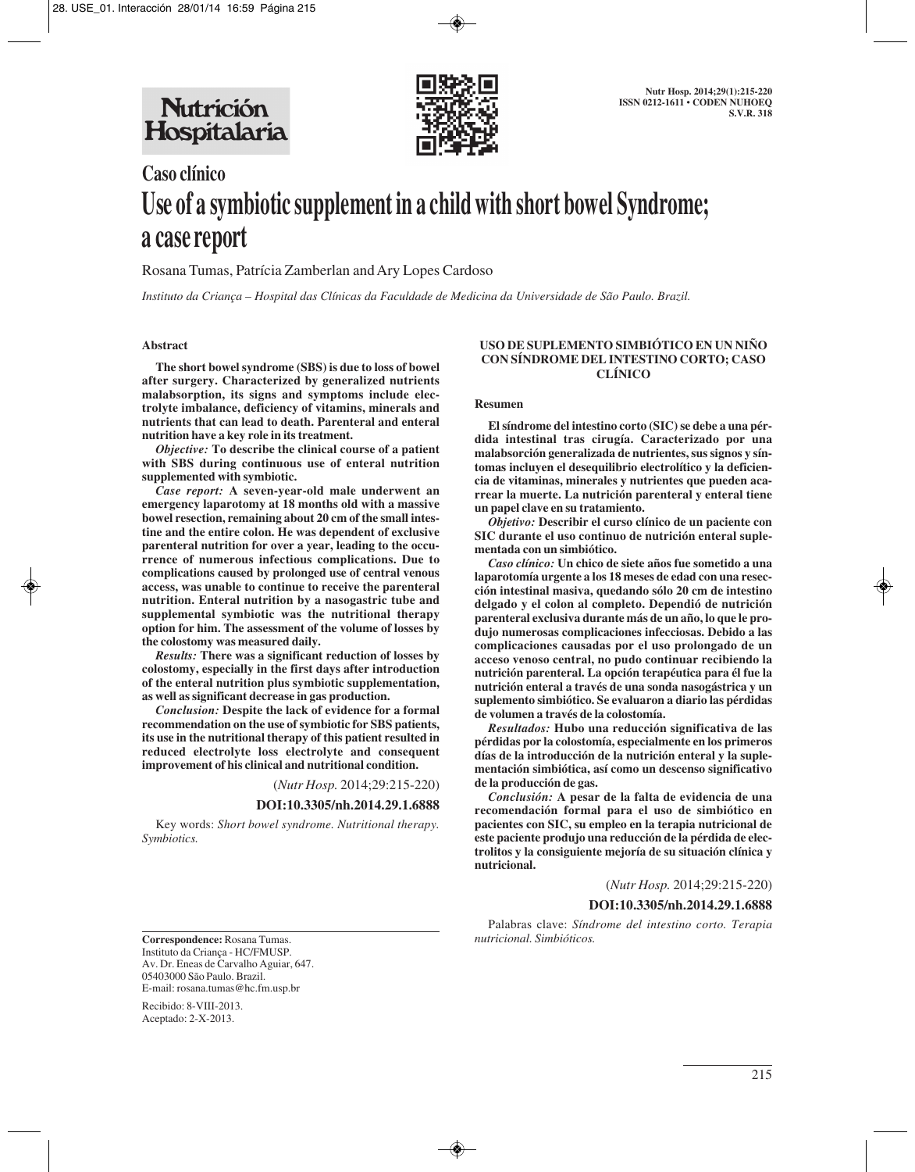

# **Caso clínico Use of a symbiotic supplement in a child with short bowel Syndrome; a case report**

Rosana Tumas, Patrícia Zamberlan and Ary Lopes Cardoso

*Instituto da Criança – Hospital das Clínicas da Faculdade de Medicina da Universidade de São Paulo. Brazil.*

## **Abstract**

**The short bowel syndrome (SBS) is due to loss of bowel after surgery. Characterized by generalized nutrients malabsorption, its signs and symptoms include electrolyte imbalance, deficiency of vitamins, minerals and nutrients that can lead to death. Parenteral and enteral nutrition have a key role in its treatment.**

*Objective:* **To describe the clinical course of a patient with SBS during continuous use of enteral nutrition supplemented with symbiotic.**

*Case report:* **A seven-year-old male underwent an emergency laparotomy at 18 months old with a massive bowel resection, remaining about 20 cm of the small intestine and the entire colon. He was dependent of exclusive parenteral nutrition for over a year, leading to the occurrence of numerous infectious complications. Due to complications caused by prolonged use of central venous access, was unable to continue to receive the parenteral nutrition. Enteral nutrition by a nasogastric tube and supplemental symbiotic was the nutritional therapy option for him. The assessment of the volume of losses by the colostomy was measured daily.**

*Results:* **There was a significant reduction of losses by colostomy, especially in the first days after introduction of the enteral nutrition plus symbiotic supplementation, as well as significant decrease in gas production.**

*Conclusion:* **Despite the lack of evidence for a formal recommendation on the use of symbiotic for SBS patients, its use in the nutritional therapy of this patient resulted in reduced electrolyte loss electrolyte and consequent improvement of his clinical and nutritional condition.**

(*Nutr Hosp.* 2014;29:215-220)

#### **DOI:10.3305/nh.2014.29.1.6888**

Key words: *Short bowel syndrome. Nutritional therapy. Symbiotics.*

## **USO DE SUPLEMENTO SIMBIÓTICO EN UN NIÑO CON SÍNDROME DEL INTESTINO CORTO; CASO CLÍNICO**

#### **Resumen**

**El síndrome del intestino corto (SIC) se debe a una pérdida intestinal tras cirugía. Caracterizado por una malabsorción generalizada de nutrientes, sus signos y síntomas incluyen el desequilibrio electrolítico y la deficiencia de vitaminas, minerales y nutrientes que pueden acarrear la muerte. La nutrición parenteral y enteral tiene un papel clave en su tratamiento.**

*Objetivo:* **Describir el curso clínico de un paciente con SIC durante el uso continuo de nutrición enteral suplementada con un simbiótico.**

*Caso clínico:* **Un chico de siete años fue sometido a una laparotomía urgente a los 18 meses de edad con una resección intestinal masiva, quedando sólo 20 cm de intestino delgado y el colon al completo. Dependió de nutrición parenteral exclusiva durante más de un año, lo que le produjo numerosas complicaciones infecciosas. Debido a las complicaciones causadas por el uso prolongado de un acceso venoso central, no pudo continuar recibiendo la nutrición parenteral. La opción terapéutica para él fue la nutrición enteral a través de una sonda nasogástrica y un suplemento simbiótico. Se evaluaron a diario las pérdidas de volumen a través de la colostomía.**

*Resultados:* **Hubo una reducción significativa de las pérdidas por la colostomía, especialmente en los primeros días de la introducción de la nutrición enteral y la suplementación simbiótica, así como un descenso significativo de la producción de gas.**

*Conclusión:* **A pesar de la falta de evidencia de una recomendación formal para el uso de simbiótico en pacientes con SIC, su empleo en la terapia nutricional de este paciente produjo una reducción de la pérdida de electrolitos y la consiguiente mejoría de su situación clínica y nutricional.**

*nutricional. Simbióticos.*

(*Nutr Hosp.* 2014;29:215-220) **DOI:10.3305/nh.2014.29.1.6888** Palabras clave: *Síndrome del intestino corto. Terapia*

**Correspondence:** Rosana Tumas. Instituto da Criança - HC/FMUSP. Av. Dr. Eneas de Carvalho Aguiar, 647. 05403000 São Paulo. Brazil. E-mail: rosana.tumas@hc.fm.usp.br

Recibido: 8-VIII-2013. Aceptado: 2-X-2013.

215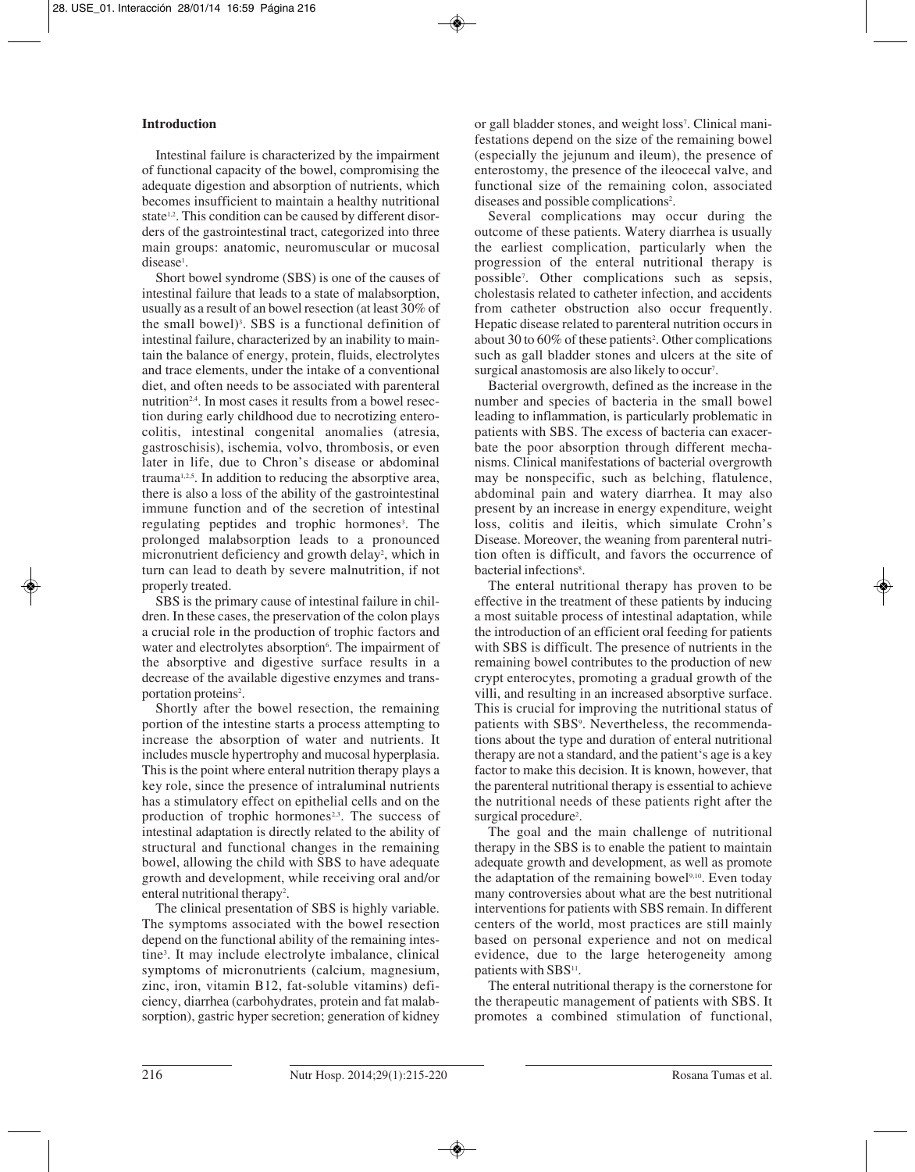## **Introduction**

Intestinal failure is characterized by the impairment of functional capacity of the bowel, compromising the adequate digestion and absorption of nutrients, which becomes insufficient to maintain a healthy nutritional state<sup>1,2</sup>. This condition can be caused by different disorders of the gastrointestinal tract, categorized into three main groups: anatomic, neuromuscular or mucosal disease<sup>1</sup>.

Short bowel syndrome (SBS) is one of the causes of intestinal failure that leads to a state of malabsorption, usually as a result of an bowel resection (at least 30% of the small bowel)<sup>3</sup>. SBS is a functional definition of intestinal failure, characterized by an inability to maintain the balance of energy, protein, fluids, electrolytes and trace elements, under the intake of a conventional diet, and often needs to be associated with parenteral nutrition2,4. In most cases it results from a bowel resection during early childhood due to necrotizing enterocolitis, intestinal congenital anomalies (atresia, gastroschisis), ischemia, volvo, thrombosis, or even later in life, due to Chron's disease or abdominal trauma<sup>1,2,5</sup>. In addition to reducing the absorptive area, there is also a loss of the ability of the gastrointestinal immune function and of the secretion of intestinal regulating peptides and trophic hormones<sup>3</sup>. The prolonged malabsorption leads to a pronounced micronutrient deficiency and growth delay<sup>2</sup>, which in turn can lead to death by severe malnutrition, if not properly treated.

SBS is the primary cause of intestinal failure in children. In these cases, the preservation of the colon plays a crucial role in the production of trophic factors and water and electrolytes absorption<sup>6</sup>. The impairment of the absorptive and digestive surface results in a decrease of the available digestive enzymes and transportation proteins<sup>2</sup>.

Shortly after the bowel resection, the remaining portion of the intestine starts a process attempting to increase the absorption of water and nutrients. It includes muscle hypertrophy and mucosal hyperplasia. This is the point where enteral nutrition therapy plays a key role, since the presence of intraluminal nutrients has a stimulatory effect on epithelial cells and on the production of trophic hormones<sup>2,3</sup>. The success of intestinal adaptation is directly related to the ability of structural and functional changes in the remaining bowel, allowing the child with SBS to have adequate growth and development, while receiving oral and/or enteral nutritional therapy<sup>2</sup>.

The clinical presentation of SBS is highly variable. The symptoms associated with the bowel resection depend on the functional ability of the remaining intestine3 . It may include electrolyte imbalance, clinical symptoms of micronutrients (calcium, magnesium, zinc, iron, vitamin B12, fat-soluble vitamins) deficiency, diarrhea (carbohydrates, protein and fat malabsorption), gastric hyper secretion; generation of kidney

or gall bladder stones, and weight loss<sup>7</sup>. Clinical manifestations depend on the size of the remaining bowel (especially the jejunum and ileum), the presence of enterostomy, the presence of the ileocecal valve, and functional size of the remaining colon, associated diseases and possible complications<sup>2</sup>.

Several complications may occur during the outcome of these patients. Watery diarrhea is usually the earliest complication, particularly when the progression of the enteral nutritional therapy is possible7 . Other complications such as sepsis, cholestasis related to catheter infection, and accidents from catheter obstruction also occur frequently. Hepatic disease related to parenteral nutrition occurs in about 30 to 60% of these patients<sup>2</sup>. Other complications such as gall bladder stones and ulcers at the site of surgical anastomosis are also likely to occur<sup>7</sup>.

Bacterial overgrowth, defined as the increase in the number and species of bacteria in the small bowel leading to inflammation, is particularly problematic in patients with SBS. The excess of bacteria can exacerbate the poor absorption through different mechanisms. Clinical manifestations of bacterial overgrowth may be nonspecific, such as belching, flatulence, abdominal pain and watery diarrhea. It may also present by an increase in energy expenditure, weight loss, colitis and ileitis, which simulate Crohn's Disease. Moreover, the weaning from parenteral nutrition often is difficult, and favors the occurrence of bacterial infections<sup>8</sup>.

The enteral nutritional therapy has proven to be effective in the treatment of these patients by inducing a most suitable process of intestinal adaptation, while the introduction of an efficient oral feeding for patients with SBS is difficult. The presence of nutrients in the remaining bowel contributes to the production of new crypt enterocytes, promoting a gradual growth of the villi, and resulting in an increased absorptive surface. This is crucial for improving the nutritional status of patients with SBS<sup>9</sup>. Nevertheless, the recommendations about the type and duration of enteral nutritional therapy are not a standard, and the patient's age is a key factor to make this decision. It is known, however, that the parenteral nutritional therapy is essential to achieve the nutritional needs of these patients right after the surgical procedure<sup>2</sup>.

The goal and the main challenge of nutritional therapy in the SBS is to enable the patient to maintain adequate growth and development, as well as promote the adaptation of the remaining bowel<sup>9,10</sup>. Even today many controversies about what are the best nutritional interventions for patients with SBS remain. In different centers of the world, most practices are still mainly based on personal experience and not on medical evidence, due to the large heterogeneity among patients with SBS<sup>11</sup>.

The enteral nutritional therapy is the cornerstone for the therapeutic management of patients with SBS. It promotes a combined stimulation of functional,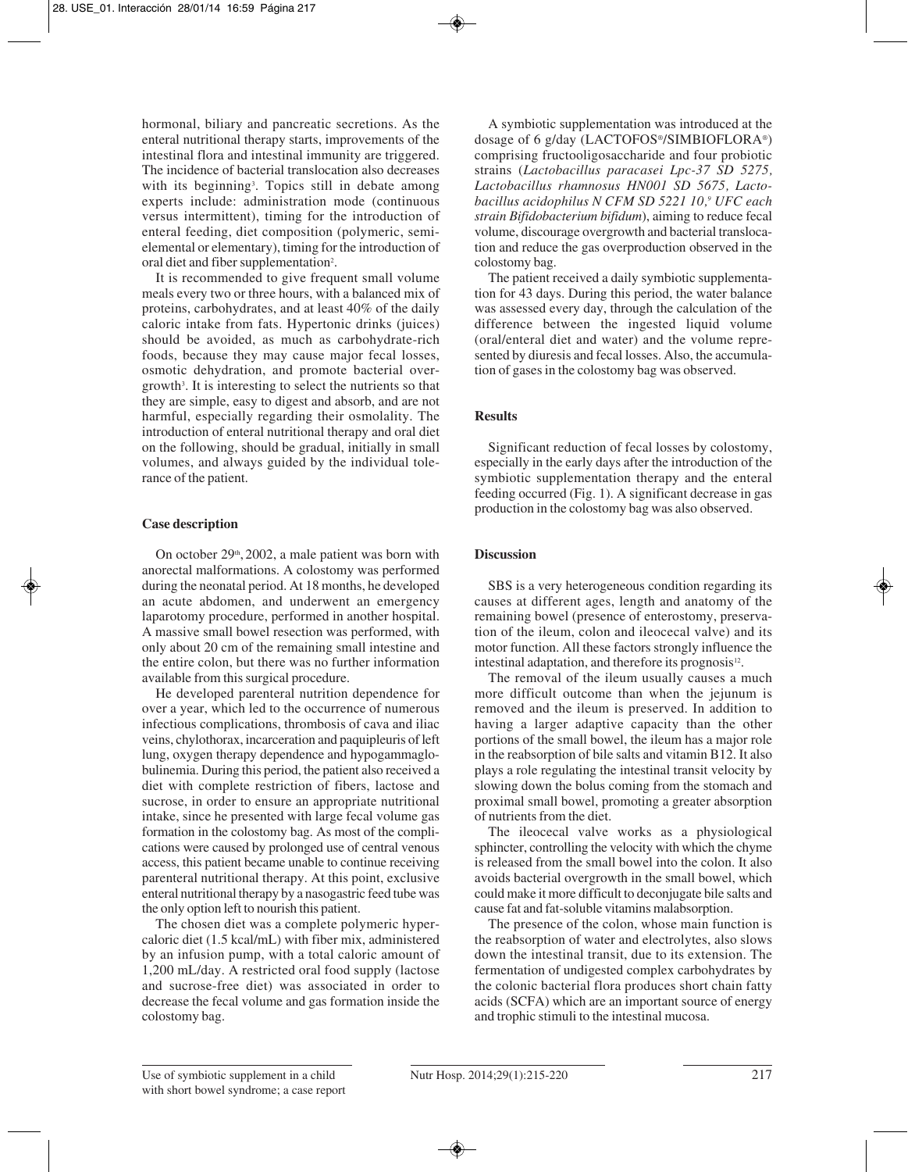hormonal, biliary and pancreatic secretions. As the enteral nutritional therapy starts, improvements of the intestinal flora and intestinal immunity are triggered. The incidence of bacterial translocation also decreases with its beginning<sup>3</sup>. Topics still in debate among experts include: administration mode (continuous versus intermittent), timing for the introduction of enteral feeding, diet composition (polymeric, semielemental or elementary), timing for the introduction of oral diet and fiber supplementation<sup>2</sup>.

It is recommended to give frequent small volume meals every two or three hours, with a balanced mix of proteins, carbohydrates, and at least 40% of the daily caloric intake from fats. Hypertonic drinks (juices) should be avoided, as much as carbohydrate-rich foods, because they may cause major fecal losses, osmotic dehydration, and promote bacterial overgrowth3 . It is interesting to select the nutrients so that they are simple, easy to digest and absorb, and are not harmful, especially regarding their osmolality. The introduction of enteral nutritional therapy and oral diet on the following, should be gradual, initially in small volumes, and always guided by the individual tolerance of the patient.

## **Case description**

On october  $29<sup>th</sup>$ , 2002, a male patient was born with anorectal malformations. A colostomy was performed during the neonatal period. At 18 months, he developed an acute abdomen, and underwent an emergency laparotomy procedure, performed in another hospital. A massive small bowel resection was performed, with only about 20 cm of the remaining small intestine and the entire colon, but there was no further information available from this surgical procedure.

He developed parenteral nutrition dependence for over a year, which led to the occurrence of numerous infectious complications, thrombosis of cava and iliac veins, chylothorax, incarceration and paquipleuris of left lung, oxygen therapy dependence and hypogammaglobulinemia. During this period, the patient also received a diet with complete restriction of fibers, lactose and sucrose, in order to ensure an appropriate nutritional intake, since he presented with large fecal volume gas formation in the colostomy bag. As most of the complications were caused by prolonged use of central venous access, this patient became unable to continue receiving parenteral nutritional therapy. At this point, exclusive enteral nutritional therapy by a nasogastric feed tube was the only option left to nourish this patient.

The chosen diet was a complete polymeric hypercaloric diet (1.5 kcal/mL) with fiber mix, administered by an infusion pump, with a total caloric amount of 1,200 mL/day. A restricted oral food supply (lactose and sucrose-free diet) was associated in order to decrease the fecal volume and gas formation inside the colostomy bag.

A symbiotic supplementation was introduced at the dosage of 6 g/day (LACTOFOS®/SIMBIOFLORA®) comprising fructooligosaccharide and four probiotic strains (*Lactobacillus paracasei Lpc-37 SD 5275, Lactobacillus rhamnosus HN001 SD 5675, Lactobacillus acidophilus N CFM SD 5221 10,9 UFC each strain Bifidobacterium bifidum*), aiming to reduce fecal volume, discourage overgrowth and bacterial translocation and reduce the gas overproduction observed in the colostomy bag.

The patient received a daily symbiotic supplementation for 43 days. During this period, the water balance was assessed every day, through the calculation of the difference between the ingested liquid volume (oral/enteral diet and water) and the volume represented by diuresis and fecal losses. Also, the accumulation of gases in the colostomy bag was observed.

# **Results**

Significant reduction of fecal losses by colostomy, especially in the early days after the introduction of the symbiotic supplementation therapy and the enteral feeding occurred (Fig. 1). A significant decrease in gas production in the colostomy bag was also observed.

## **Discussion**

SBS is a very heterogeneous condition regarding its causes at different ages, length and anatomy of the remaining bowel (presence of enterostomy, preservation of the ileum, colon and ileocecal valve) and its motor function. All these factors strongly influence the intestinal adaptation, and therefore its prognosis $12$ .

The removal of the ileum usually causes a much more difficult outcome than when the jejunum is removed and the ileum is preserved. In addition to having a larger adaptive capacity than the other portions of the small bowel, the ileum has a major role in the reabsorption of bile salts and vitamin B12. It also plays a role regulating the intestinal transit velocity by slowing down the bolus coming from the stomach and proximal small bowel, promoting a greater absorption of nutrients from the diet.

The ileocecal valve works as a physiological sphincter, controlling the velocity with which the chyme is released from the small bowel into the colon. It also avoids bacterial overgrowth in the small bowel, which could make it more difficult to deconjugate bile salts and cause fat and fat-soluble vitamins malabsorption.

The presence of the colon, whose main function is the reabsorption of water and electrolytes, also slows down the intestinal transit, due to its extension. The fermentation of undigested complex carbohydrates by the colonic bacterial flora produces short chain fatty acids (SCFA) which are an important source of energy and trophic stimuli to the intestinal mucosa.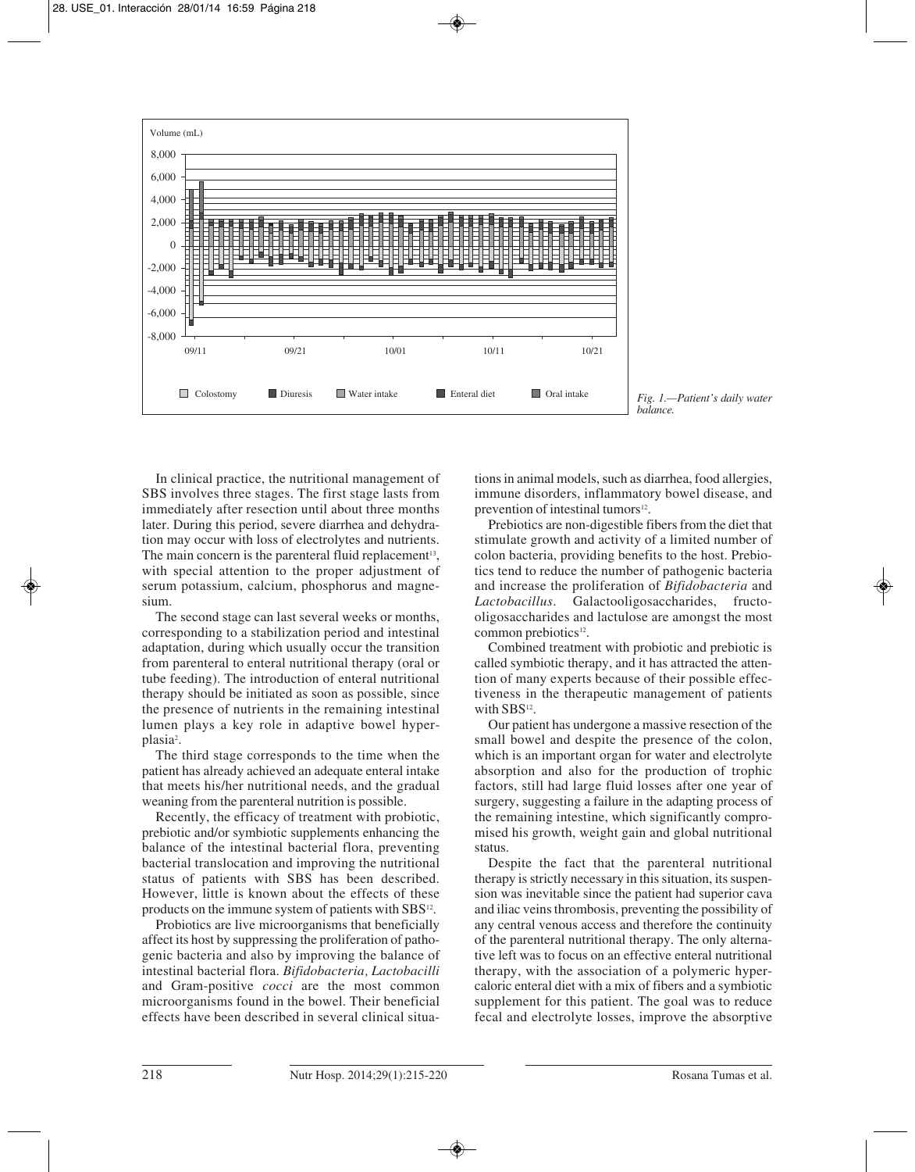

*Fig. 1.—Patient's daily water balance.*

In clinical practice, the nutritional management of SBS involves three stages. The first stage lasts from immediately after resection until about three months later. During this period, severe diarrhea and dehydration may occur with loss of electrolytes and nutrients. The main concern is the parenteral fluid replacement<sup>13</sup>, with special attention to the proper adjustment of serum potassium, calcium, phosphorus and magnesium.

The second stage can last several weeks or months, corresponding to a stabilization period and intestinal adaptation, during which usually occur the transition from parenteral to enteral nutritional therapy (oral or tube feeding). The introduction of enteral nutritional therapy should be initiated as soon as possible, since the presence of nutrients in the remaining intestinal lumen plays a key role in adaptive bowel hyperplasia<sup>2</sup>.

The third stage corresponds to the time when the patient has already achieved an adequate enteral intake that meets his/her nutritional needs, and the gradual weaning from the parenteral nutrition is possible.

Recently, the efficacy of treatment with probiotic, prebiotic and/or symbiotic supplements enhancing the balance of the intestinal bacterial flora, preventing bacterial translocation and improving the nutritional status of patients with SBS has been described. However, little is known about the effects of these products on the immune system of patients with SBS<sup>12</sup>.

Probiotics are live microorganisms that beneficially affect its host by suppressing the proliferation of pathogenic bacteria and also by improving the balance of intestinal bacterial flora. *Bifidobacteria, Lactobacilli* and Gram-positive *cocci* are the most common microorganisms found in the bowel. Their beneficial effects have been described in several clinical situations in animal models, such as diarrhea, food allergies, immune disorders, inflammatory bowel disease, and prevention of intestinal tumors<sup>12</sup>.

Prebiotics are non-digestible fibers from the diet that stimulate growth and activity of a limited number of colon bacteria, providing benefits to the host. Prebio tics tend to reduce the number of pathogenic bacteria and increase the proliferation of *Bifidobacteria* and *Lactobacillus*. Galactooligosaccharides, fructooligosaccharides and lactulose are amongst the most common prebiotics<sup>12</sup>.

Combined treatment with probiotic and prebiotic is called symbiotic therapy, and it has attracted the attention of many experts because of their possible effectiveness in the therapeutic management of patients with SBS<sup>12</sup>.

Our patient has undergone a massive resection of the small bowel and despite the presence of the colon, which is an important organ for water and electrolyte absorption and also for the production of trophic factors, still had large fluid losses after one year of surgery, suggesting a failure in the adapting process of the remaining intestine, which significantly compromised his growth, weight gain and global nutritional status.

Despite the fact that the parenteral nutritional therapy is strictly necessary in this situation, its suspension was inevitable since the patient had superior cava and iliac veins thrombosis, preventing the possibility of any central venous access and therefore the continuity of the parenteral nutritional therapy. The only alternative left was to focus on an effective enteral nutritional therapy, with the association of a polymeric hypercaloric enteral diet with a mix of fibers and a symbiotic supplement for this patient. The goal was to reduce fecal and electrolyte losses, improve the absorptive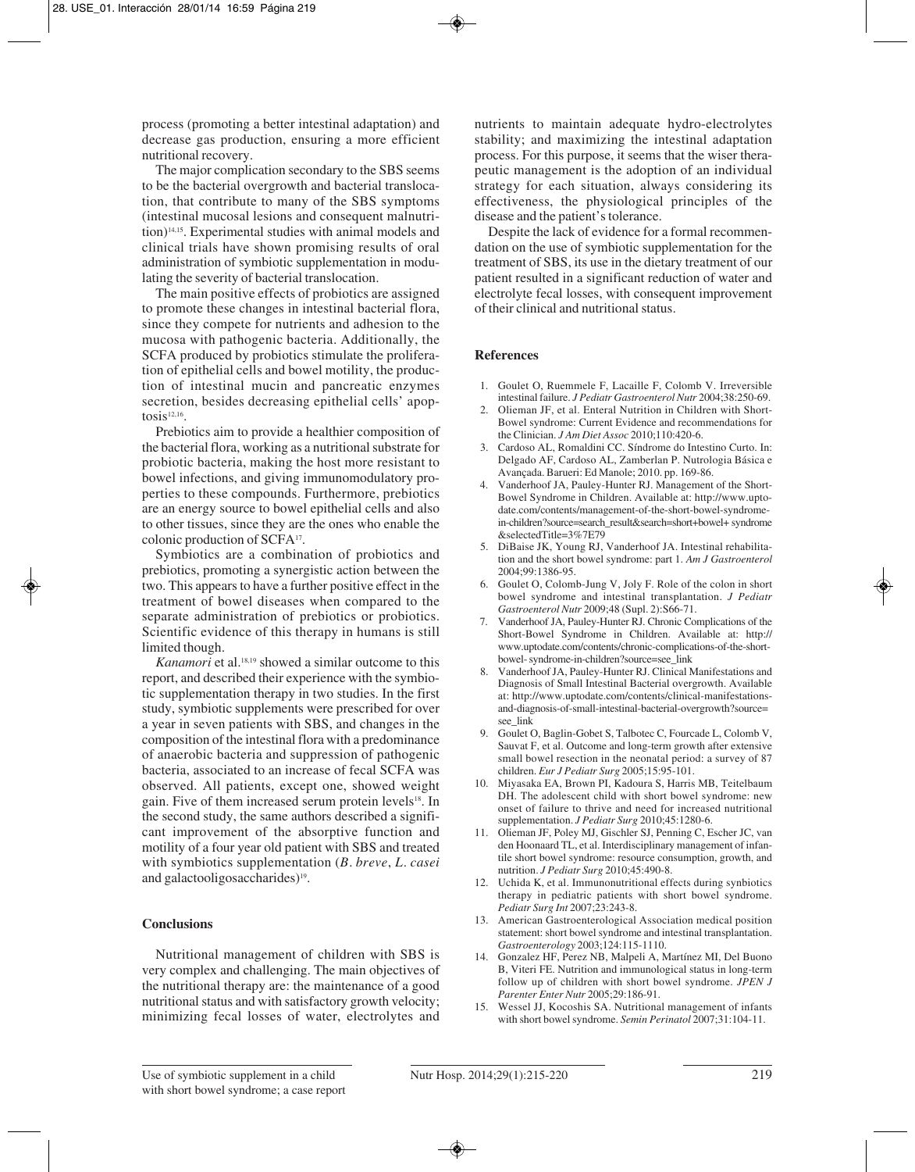process (promoting a better intestinal adaptation) and decrease gas production, ensuring a more efficient nutritional recovery.

The major complication secondary to the SBS seems to be the bacterial overgrowth and bacterial translocation, that contribute to many of the SBS symptoms (intestinal mucosal lesions and consequent malnutrition)<sup>14,15</sup>. Experimental studies with animal models and clinical trials have shown promising results of oral administration of symbiotic supplementation in modulating the severity of bacterial translocation.

The main positive effects of probiotics are assigned to promote these changes in intestinal bacterial flora, since they compete for nutrients and adhesion to the mucosa with pathogenic bacteria. Additionally, the SCFA produced by probiotics stimulate the proliferation of epithelial cells and bowel motility, the production of intestinal mucin and pancreatic enzymes secretion, besides decreasing epithelial cells' apoptosis $12,16$ .

Prebiotics aim to provide a healthier composition of the bacterial flora, working as a nutritional substrate for probiotic bacteria, making the host more resistant to bowel infections, and giving immunomodulatory properties to these compounds. Furthermore, prebiotics are an energy source to bowel epithelial cells and also to other tissues, since they are the ones who enable the colonic production of SCFA17.

Symbiotics are a combination of probiotics and prebiotics, promoting a synergistic action between the two. This appears to have a further positive effect in the treatment of bowel diseases when compared to the separate administration of prebiotics or probiotics. Scientific evidence of this therapy in humans is still limited though.

*Kanamori* et al.18,19 showed a similar outcome to this report, and described their experience with the symbiotic supplementation therapy in two studies. In the first study, symbiotic supplements were prescribed for over a year in seven patients with SBS, and changes in the composition of the intestinal flora with a predominance of anaerobic bacteria and suppression of pathogenic bacteria, associated to an increase of fecal SCFA was observed. All patients, except one, showed weight gain. Five of them increased serum protein levels<sup>18</sup>. In the second study, the same authors described a significant improvement of the absorptive function and motility of a four year old patient with SBS and treated with symbiotics supplementation (*B. breve*, *L. casei* and galactooligosaccharides)<sup>19</sup>.

## **Conclusions**

Nutritional management of children with SBS is very complex and challenging. The main objectives of the nutritional therapy are: the maintenance of a good nutritional status and with satisfactory growth velocity; minimizing fecal losses of water, electrolytes and

nutrients to maintain adequate hydro-electrolytes stability; and maximizing the intestinal adaptation process. For this purpose, it seems that the wiser therapeutic management is the adoption of an individual strategy for each situation, always considering its effectiveness, the physiological principles of the disease and the patient's tolerance.

Despite the lack of evidence for a formal recommendation on the use of symbiotic supplementation for the treatment of SBS, its use in the dietary treatment of our patient resulted in a significant reduction of water and electrolyte fecal losses, with consequent improvement of their clinical and nutritional status.

#### **References**

- 1. Goulet O, Ruemmele F, Lacaille F, Colomb V. Irreversible intestinal failure. *J Pediatr Gastroenterol Nutr* 2004;38:250-69.
- 2. Olieman JF, et al. Enteral Nutrition in Children with Short-Bowel syndrome: Current Evidence and recommendations for the Clinician. *J Am Diet Assoc* 2010;110:420-6.
- 3. Cardoso AL, Romaldini CC. Síndrome do Intestino Curto. In: Delgado AF, Cardoso AL, Zamberlan P. Nutrologia Básica e Avançada. Barueri: Ed Manole; 2010. pp. 169-86.
- Vanderhoof JA, Pauley-Hunter RJ. Management of the Short-Bowel Syndrome in Children. Available at: http://www.uptodate.com/contents/management-of-the-short-bowel-syndromein-children?source=search\_result&search=short+bowel+ syndrome &selectedTitle=3%7E79
- 5. DiBaise JK, Young RJ, Vanderhoof JA. Intestinal rehabilitation and the short bowel syndrome: part 1. *Am J Gastroenterol* 2004;99:1386-95.
- 6. Goulet O, Colomb-Jung V, Joly F. Role of the colon in short bowel syndrome and intestinal transplantation. *J Pediatr Gastroenterol Nutr* 2009;48 (Supl. 2):S66-71.
- 7. Vanderhoof JA, Pauley-Hunter RJ. Chronic Complications of the Short-Bowel Syndrome in Children. Available at: http:// www.uptodate.com/contents/chronic-complications-of-the-shortbowel- syndrome-in-children?source=see\_link
- 8. Vanderhoof JA, Pauley-Hunter RJ. Clinical Manifestations and Diagnosis of Small Intestinal Bacterial overgrowth. Available at: http://www.uptodate.com/contents/clinical-manifestationsand-diagnosis-of-small-intestinal-bacterial-overgrowth?source= see\_link
- 9. Goulet O, Baglin-Gobet S, Talbotec C, Fourcade L, Colomb V, Sauvat F, et al. Outcome and long-term growth after extensive small bowel resection in the neonatal period: a survey of 87 children. *Eur J Pediatr Surg* 2005;15:95-101.
- 10. Miyasaka EA, Brown PI, Kadoura S, Harris MB, Teitelbaum DH. The adolescent child with short bowel syndrome: new onset of failure to thrive and need for increased nutritional supplementation. *J Pediatr Surg* 2010;45:1280-6.
- 11. Olieman JF, Poley MJ, Gischler SJ, Penning C, Escher JC, van den Hoonaard TL, et al. Interdisciplinary management of infantile short bowel syndrome: resource consumption, growth, and nutrition. *J Pediatr Surg* 2010;45:490-8.
- 12. Uchida K, et al. Immunonutritional effects during synbiotics therapy in pediatric patients with short bowel syndrome. *Pediatr Surg Int* 2007;23:243-8.
- 13. American Gastroenterological Association medical position statement: short bowel syndrome and intestinal transplantation. *Gastroenterology* 2003;124:115-1110.
- 14. Gonzalez HF, Perez NB, Malpeli A, Martínez MI, Del Buono B, Viteri FE. Nutrition and immunological status in long-term follow up of children with short bowel syndrome. *JPEN J Parenter Enter Nutr* 2005;29:186-91.
- 15. Wessel JJ, Kocoshis SA. Nutritional management of infants with short bowel syndrome. *Semin Perinatol* 2007;31:104-11.